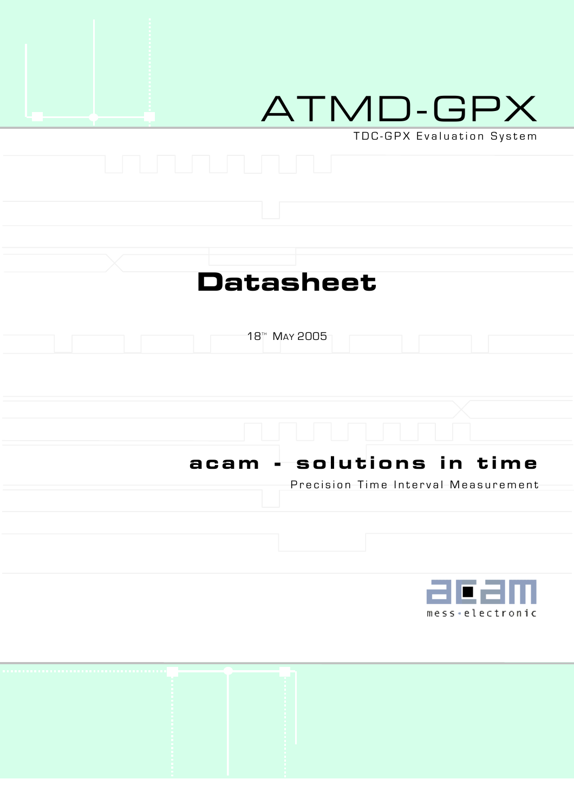

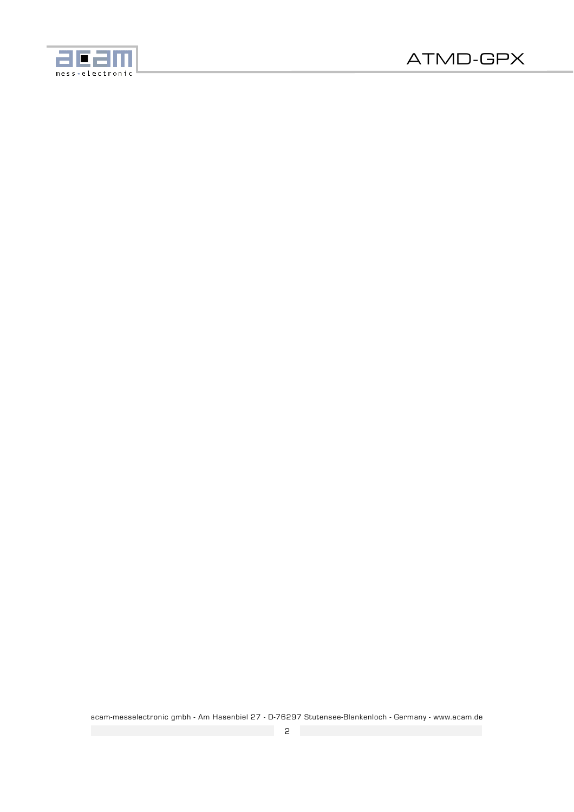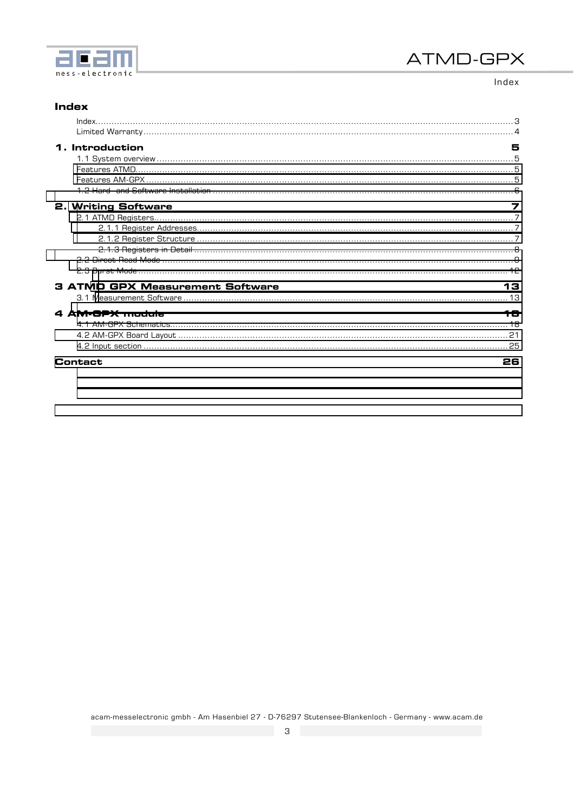

# ATMD-GPX

## Index

## **Index**

| 1. Introduction                        | 5  |
|----------------------------------------|----|
|                                        |    |
|                                        |    |
|                                        |    |
|                                        |    |
| <b>2. Writing Software</b>             |    |
|                                        |    |
|                                        |    |
|                                        |    |
|                                        |    |
|                                        |    |
|                                        |    |
|                                        |    |
| <b>3 ATMD_GPX Measurement Software</b> | 13 |
|                                        |    |
| 4 AM-GPX module                        | 18 |
|                                        |    |
|                                        |    |
|                                        |    |
|                                        |    |
| Contact                                | 26 |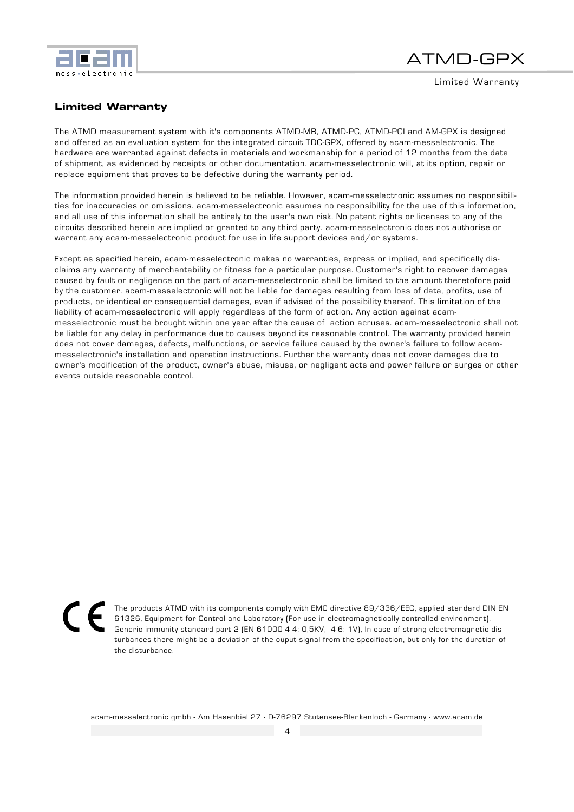<span id="page-3-0"></span>

# ATMD-GPX

Limited Warranty

## Limited Warranty

The ATMD measurement system with it's components ATMD-MB, ATMD-PC, ATMD-PCI and AM-GPX is designed and offered as an evaluation system for the integrated circuit TDC-GPX, offered by acam-messelectronic. The hardware are warranted against defects in materials and workmanship for a period of 12 months from the date of shipment, as evidenced by receipts or other documentation. acam-messelectronic will, at its option, repair or replace equipment that proves to be defective during the warranty period.

The information provided herein is believed to be reliable. However, acam-messelectronic assumes no responsibilities for inaccuracies or omissions. acam-messelectronic assumes no responsibility for the use of this information, and all use of this information shall be entirely to the user's own risk. No patent rights or licenses to any of the circuits described herein are implied or granted to any third party. acam-messelectronic does not authorise or warrant any acam-messelectronic product for use in life support devices and/or systems.

Except as specified herein, acam-messelectronic makes no warranties, express or implied, and specifically disclaims any warranty of merchantability or fitness for a particular purpose. Customer's right to recover damages caused by fault or negligence on the part of acam-messelectronic shall be limited to the amount theretofore paid by the customer. acam-messelectronic will not be liable for damages resulting from loss of data, profits, use of products, or identical or consequential damages, even if advised of the possibility thereof. This limitation of the liability of acam-messelectronic will apply regardless of the form of action. Any action against acammesselectronic must be brought within one year after the cause of action acruses. acam-messelectronic shall not be liable for any delay in performance due to causes beyond its reasonable control. The warranty provided herein does not cover damages, defects, malfunctions, or service failure caused by the owner's failure to follow acammesselectronic's installation and operation instructions. Further the warranty does not cover damages due to owner's modification of the product, owner's abuse, misuse, or negligent acts and power failure or surges or other events outside reasonable control.

The products ATMD with its components comply with EMC directive 89/336/EEC, applied standard DIN EN 61326, Equipment for Control and Laboratory (For use in electromagnetically controlled environment). Generic immunity standard part 2 (EN 61000-4-4: 0,5KV, -4-6: 1V), In case of strong electromagnetic disturbances there might be a deviation of the ouput signal from the specification, but only for the duration of the disturbance.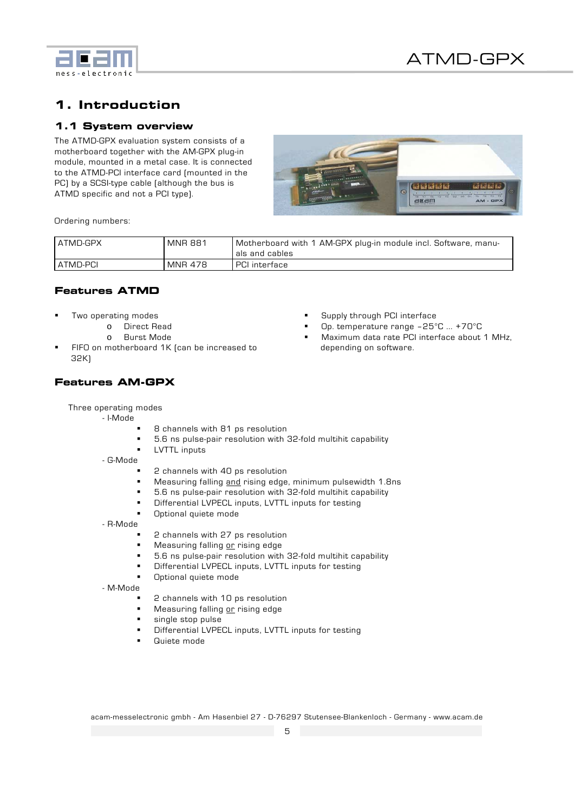<span id="page-4-0"></span>

## 1. Introduction

### 1.1 System overview

The ATMD-GPX evaluation system consists of a motherboard together with the AM-GPX plug-in module, mounted in a metal case. It is connected to the ATMD-PCI interface card (mounted in the PC) by a SCSI-type cable (although the bus is ATMD specific and not a PCI type).



**Supply through PCI interface** 

depending on software.

 Op. temperature range –25°C ... +70°C Maximum data rate PCI interface about 1 MHz,

Ordering numbers:

| ATMD-GPX | <b>MNR 881</b> | Motherboard with 1 AM-GPX plug-in module incl. Software, manu- |
|----------|----------------|----------------------------------------------------------------|
|          |                | als and cables                                                 |
| ATMD-PCI | <b>MNR 478</b> | PCI interface                                                  |

## Features ATMD

- Two operating modes
	- o Direct Read
	- o Burst Mode
- FIFO on motherboard 1K (can be increased to 32K)

## Features AM-GPX

Three operating modes - I-Mode

- 8 channels with 81 ps resolution
- 5.6 ns pulse-pair resolution with 32-fold multihit capability
- LVTTL inputs

- G-Mode

- 2 channels with 40 ps resolution
- Measuring falling and rising edge, minimum pulsewidth 1.8ns
- 5.6 ns pulse-pair resolution with 32-fold multihit capability
- Differential LVPECL inputs, LVTTL inputs for testing
- Optional quiete mode
- R-Mode
- 2 channels with 27 ps resolution
- Measuring falling or rising edge
- 5.6 ns pulse-pair resolution with 32-fold multihit capability
- Differential LVPECL inputs, LVTTL inputs for testing
- Optional quiete mode

- M-Mode

- 2 channels with 10 ps resolution
- Measuring falling or rising edge
- single stop pulse
- Differential LVPECL inputs, LVTTL inputs for testing
- Quiete mode
- acam-messelectronic gmbh Am Hasenbiel 27 D-76297 Stutensee-Blankenloch Germany www.acam.de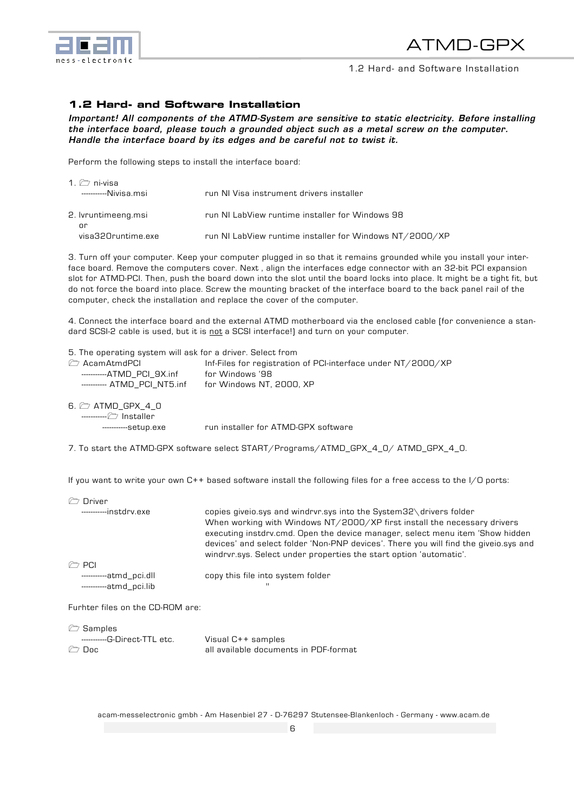<span id="page-5-0"></span>

#### 1.2 Hard- and Software Installation

## 1.2 Hard- and Software Installation

*Important! All components of the ATMD-System are sensitive to static electricity. Before installing the interface board, please touch a grounded object such as a metal screw on the computer. Handle the interface board by its edges and be careful not to twist it.* 

Perform the following steps to install the interface board:

| 1. $\triangleright$ ni-visa |                                                         |
|-----------------------------|---------------------------------------------------------|
| ----------Nivisa.msi        | run NI Visa instrument drivers installer                |
| 2. Ivruntimeeng.msi         | run NI LabView runtime installer for Windows 98         |
| or<br>visa320runtime.exe    | run NI LabView runtime installer for Windows NT/2000/XP |

3. Turn off your computer. Keep your computer plugged in so that it remains grounded while you install your interface board. Remove the computers cover. Next , align the interfaces edge connector with an 32-bit PCI expansion slot for ATMD-PCI. Then, push the board down into the slot until the board locks into place. It might be a tight fit, but do not force the board into place. Screw the mounting bracket of the interface board to the back panel rail of the computer, check the installation and replace the cover of the computer.

4. Connect the interface board and the external ATMD motherboard via the enclosed cable (for convenience a standard SCSI-2 cable is used, but it is not a SCSI interface!) and turn on your computer.

5. The operating system will ask for a driver. Select from

| <b>P</b> AcamAtmdPCI             | Inf-Files for registration of PCI-interface under NT/2000/XP |
|----------------------------------|--------------------------------------------------------------|
| -----------ATMD PCI 9X.inf       | .98°, for Windows                                            |
| ---------- ATMD PCI NT5.inf      | for Windows NT, 2000, XP                                     |
|                                  |                                                              |
| 6. $\triangleright$ atmd GPX 4 0 |                                                              |
|                                  |                                                              |
| -----------setup.exe             | run installer for ATMD-GPX software                          |
|                                  |                                                              |

7. To start the ATMD-GPX software select START/Programs/ATMD\_GPX\_4\_0/ ATMD\_GPX\_4\_0.

If you want to write your own C++ based software install the following files for a free access to the I/O ports:

**Driver**  -----------instdrv.exe copies giveio.sys and windrvr.sys into the System32\drivers folder When working with Windows NT/2000/XP first install the necessary drivers executing instdrv.cmd. Open the device manager, select menu item 'Show hidden devices' and select folder 'Non-PNP devices'. There you will find the giveio.sys and windrvr.sys. Select under properties the start option 'automatic'.  $P$  PCI -----------atmd\_pci.dll copy this file into system folder -----------atmd\_pci.lib

Furhter files on the CD-ROM are:

 Samples -----------G-Direct-TTL etc. Visual C++ samples Doc all available documents in PDF-format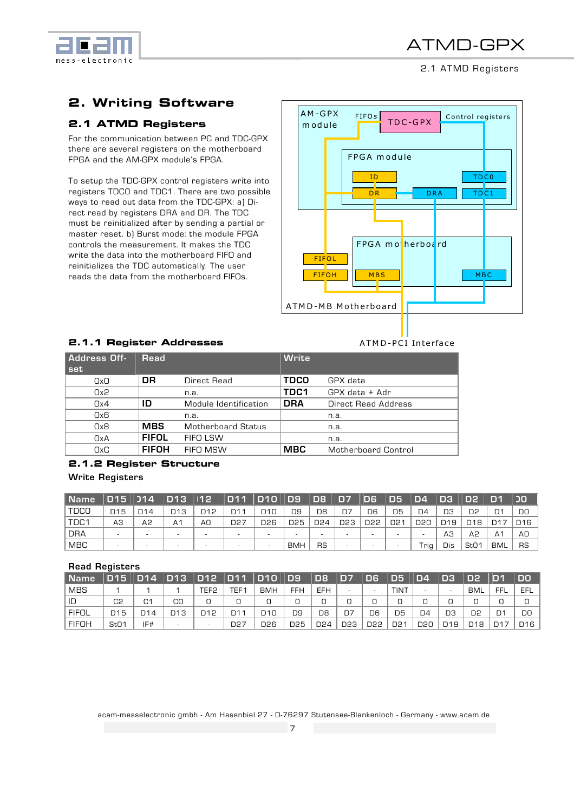<span id="page-6-0"></span>

2.1 ATMD Registers

## 2. Writing Software

## 2.1 ATMD Registers

For the communication between PC and TDC-GPX there are several registers on the motherboard FPGA and the AM-GPX module's FPGA.

To setup the TDC-GPX control registers write into registers TDC0 and TDC1. There are two possible ways to read out data from the TDC-GPX: a) Direct read by registers DRA and DR. The TDC must be reinitialized after by sending a partial or master reset. b) Burst mode: the module FPGA controls the measurement. It makes the TDC write the data into the motherboard FIFO and reinitializes the TDC automatically. The user reads the data from the motherboard FIFOs.



ATMD-PCI Interface

### 2.1.1 Register Addresses

| <b>Address Off-</b><br><b>set</b> | Read         |                       | <b>Write</b> |                     |
|-----------------------------------|--------------|-----------------------|--------------|---------------------|
| OxO                               | DR           | Direct Read           | <b>TDCO</b>  | GPX data            |
| Qx2                               |              | n.a.                  | TDC1         | GPX data + Adr      |
| Qx4                               | םו           | Module Identification | <b>DRA</b>   | Direct Read Address |
| Ox6                               |              | n.a.                  |              | n.a.                |
| QxB                               | <b>MBS</b>   | Motherboard Status    |              | n.a.                |
| QX                                | <b>FIFOL</b> | FIFO LSW              |              | n.a.                |
| OxC                               | <b>FIFOH</b> | FIFO MSW              | <b>MBC</b>   | Motherboard Control |

#### 2.1.2 Register Structure

**Write Registers** 

| <b>Name</b> | <b>D15</b>               | ∃14 ב                    | <b>D13</b>      | 112                      | D11                      | D <sub>10</sub>          | D <sub>9</sub>  | D <sub>8</sub>           | D <sub>7</sub>           | D <sub>6</sub>           | D <sub>5</sub> | l D4 | D <sub>3</sub>  | D <sub>2</sub>    | D <sub>1</sub> | םכ ו            |
|-------------|--------------------------|--------------------------|-----------------|--------------------------|--------------------------|--------------------------|-----------------|--------------------------|--------------------------|--------------------------|----------------|------|-----------------|-------------------|----------------|-----------------|
| <b>TDCO</b> | D <sub>15</sub>          | ገ14                      | D <sub>13</sub> | D12                      | D <sub>11</sub>          | D <sub>10</sub>          | D <sub>9</sub>  | D <sub>8</sub>           | D7                       | D6                       | D5             | D4   | D <sub>3</sub>  | D2                |                | DO              |
| TDC1        | ΑЗ                       | А2                       | A <sub>1</sub>  | AΟ                       | D <sub>27</sub>          | D26                      | D <sub>25</sub> | D24                      | D <sub>23</sub>          | D22                      | D21            | D20  | D <sub>19</sub> | D <sub>18</sub>   | $\Gamma$ 17    | D <sub>16</sub> |
| DRA         | $\overline{\phantom{a}}$ | $\overline{\phantom{0}}$ | -               | $\overline{\phantom{0}}$ | $\overline{\phantom{a}}$ | $\overline{\phantom{0}}$ | <b>.</b>        | $\overline{\phantom{0}}$ | $\overline{\phantom{0}}$ | $\overline{\phantom{0}}$ | $\sim$         |      | AЗ              | A2                | Α1             | A0              |
| MBC         | $\overline{\phantom{0}}$ |                          |                 | $\overline{\phantom{0}}$ | $\overline{\phantom{a}}$ | $\overline{\phantom{0}}$ | <b>BMH</b>      | <b>RS</b>                |                          |                          |                | Trig | Dis             | St <sub>O</sub> 1 | BML            | <b>RS</b>       |

### **Read Registers**

|              | -                |     |            |                          |      |                 |                 |                 |                 |           |                 |                |                 |                 |                |                 |
|--------------|------------------|-----|------------|--------------------------|------|-----------------|-----------------|-----------------|-----------------|-----------|-----------------|----------------|-----------------|-----------------|----------------|-----------------|
| Name         | D <sub>15</sub>  | D14 | <b>D13</b> | D12 D11                  |      | <b>D10</b>      | <b>D9</b>       | <b>D8</b>       | ID7             | <b>DG</b> | D <sub>5</sub>  | D <sub>4</sub> | D3              | D <sub>2</sub>  | l D1           | l DO            |
| MBS          |                  |     |            | TEF2                     | TEF1 | <b>BMH</b>      | FFH             | EFH             |                 |           | <b>TINT</b>     |                |                 | BML             | FFL            | EFL             |
| l ID         | C2               | C1  | CО         |                          |      |                 |                 |                 |                 |           |                 |                |                 |                 |                |                 |
| <b>FIFOL</b> | D <sub>15</sub>  | D14 | D13        | D <sub>12</sub>          | D11  | D <sub>10</sub> | D <sub>9</sub>  | D8              | D7              | D6        | D5              | D <sub>4</sub> | D3              | D <sub>2</sub>  | D <sub>1</sub> | D <sub>0</sub>  |
| FIFOH        | StO <sub>1</sub> | IF# |            | $\overline{\phantom{a}}$ | D27  | D26             | D <sub>25</sub> | D <sub>24</sub> | D <sub>23</sub> | D22       | D <sub>21</sub> | D2C            | D <sub>19</sub> | D <sub>18</sub> |                | D <sub>16</sub> |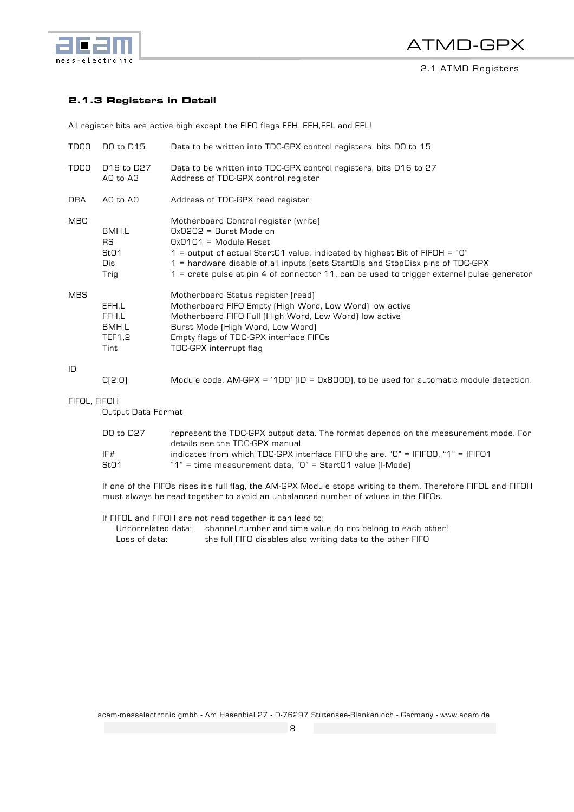<span id="page-7-0"></span>

## 2.1.3 Registers in Detail

All register bits are active high except the FIFO flags FFH, EFH,FFL and EFL!

|    | TDCO<br>DO to D15                                       | Data to be written into TDC-GPX control registers, bits DO to 15                                                                                                                                                                                                                                                                                              |
|----|---------------------------------------------------------|---------------------------------------------------------------------------------------------------------------------------------------------------------------------------------------------------------------------------------------------------------------------------------------------------------------------------------------------------------------|
|    | <b>TDCO</b><br>D16 to D27<br>AO to A3                   | Data to be written into TDC-GPX control registers, bits D16 to 27<br>Address of TDC-GPX control register                                                                                                                                                                                                                                                      |
|    | AO to AO<br><b>DRA</b>                                  | Address of TDC-GPX read register                                                                                                                                                                                                                                                                                                                              |
|    | MBC<br>BMH,L<br><b>RS</b><br>StO1<br>Dis<br>Trig        | Motherboard Control register (write)<br>$OxO2O2$ = Burst Mode on<br>$QxQ1Q1 =$ Module Reset<br>1 = output of actual StartO1 value, indicated by highest Bit of $FIFOH = "O"$<br>1 = hardware disable of all inputs (sets StartDls and StopDisx pins of TDC-GPX<br>$1$ = crate pulse at pin 4 of connector 11, can be used to trigger external pulse generator |
|    | <b>MBS</b><br>EFH,L<br>FFH,L<br>BMH,L<br>TEF1,2<br>Tint | Motherboard Status register (read)<br>Motherboard FIFO Empty (High Word, Low Word) low active<br>Motherboard FIFO Full (High Word, Low Word) low active<br>Burst Mode (High Word, Low Word)<br>Empty flags of TDC-GPX interface FIFOs<br>TDC-GPX interrupt flag                                                                                               |
| ID | C[2:0]                                                  | Module code, AM-GPX = '100' (ID = $0x8000$ ), to be used for automatic module detection.                                                                                                                                                                                                                                                                      |

#### FIFOL, FIFOH

Output Data Format

| represent the TDC-GPX output data. The format depends on the measurement mode. For |
|------------------------------------------------------------------------------------|
| details see the TDC-GPX manual.                                                    |
| indicates from which TDC-GPX interface FIFO the are. "O" = IFIFOO. "1" = IFIFO1    |
| "1" = time measurement data, "0" = Start01 value (I-Mode)                          |
|                                                                                    |

If one of the FIFOs rises it's full flag, the AM-GPX Module stops writing to them. Therefore FIFOL and FIFOH must always be read together to avoid an unbalanced number of values in the FIFOs.

If FIFOL and FIFOH are not read together it can lead to:

| Uncorrelated data: | channel number and time value do not belong to each other! |
|--------------------|------------------------------------------------------------|
| Loss of data:      | the full FIFO disables also writing data to the other FIFO |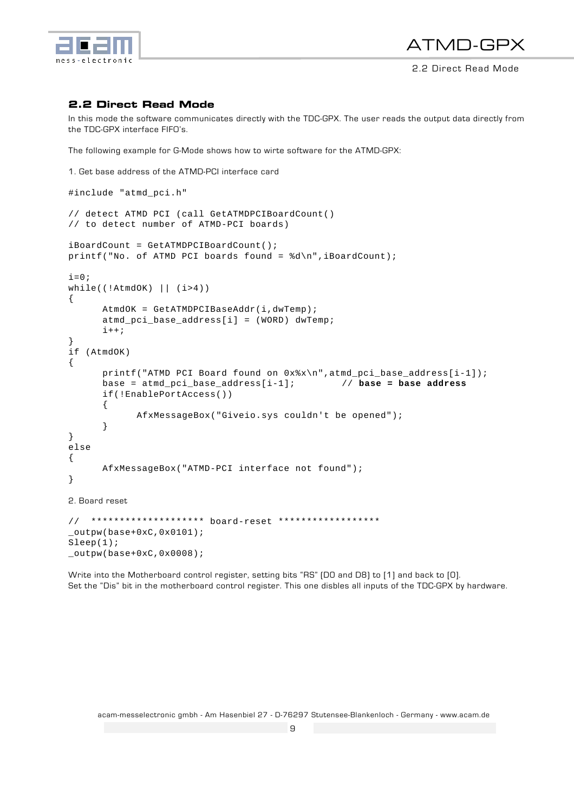<span id="page-8-0"></span>

## 2.2 Direct Read Mode

In this mode the software communicates directly with the TDC-GPX. The user reads the output data directly from the TDC-GPX interface FIFO's.

The following example for G-Mode shows how to wirte software for the ATMD-GPX:

```
1. Get base address of the ATMD-PCI interface card 
#include "atmd pci.h"
// detect ATMD PCI (call GetATMDPCIBoardCount() 
// to detect number of ATMD-PCI boards) 
iBoardCount = GetATMDPCIBoardCount(); 
printf("No. of ATMD PCI boards found = %d\n",iBoardCount); 
i=0;while((!AtmdOK) || (i>4)) 
{ 
       AtmdOK = GetATMDPCIBaseAddr(i,dwTemp); 
       atmd_pci_base_address[i] = (WORD) dwTemp; 
      i++;} 
if (AtmdOK) 
{ 
       printf("ATMD PCI Board found on 0x%x\n",atmd_pci_base_address[i-1]); 
       base = atmd_pci_base_address[i-1]; // base = base address 
       if(!EnablePortAccess()) 
       { 
              AfxMessageBox("Giveio.sys couldn't be opened"); 
       } 
} 
else 
{ 
       AfxMessageBox("ATMD-PCI interface not found"); 
}
2. Board reset
```

```
// ******************** board-reset ****************** 
_outpw(base+0xC,0x0101); 
Sleep(1); 
_outpw(base+0xC,0x0008);
```
Write into the Motherboard control register, setting bits "RS" (D0 and D8) to [1] and back to [0]. Set the "Dis" bit in the motherboard control register. This one disbles all inputs of the TDC-GPX by hardware.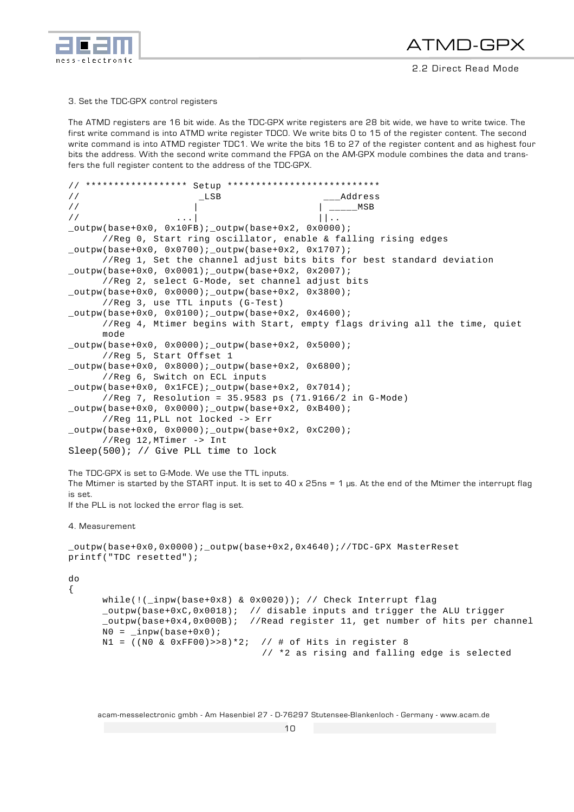

ATMD-GPX

#### 3. Set the TDC-GPX control registers

The ATMD registers are 16 bit wide. As the TDC-GPX write registers are 28 bit wide, we have to write twice. The first write command is into ATMD write register TDC0. We write bits 0 to 15 of the register content. The second write command is into ATMD register TDC1. We write the bits 16 to 27 of the register content and as highest four bits the address. With the second write command the FPGA on the AM-GPX module combines the data and transfers the full register content to the address of the TDC-GPX.

```
// ****************** Setup *************************** 
// _LSB ___Address 
//                                  MSB
// \cdots \cdots \cdots \cdots \cdots \cdots \cdots \cdots \cdots \cdots \cdots \cdots \cdots \cdots \cdots \cdots \cdots \cdots \cdots \cdots \cdots \cdots \cdots \cdots \cdots \cdots \cdots \cdots \cdots \cdots \cdots \cdots \cdots \cdots \cdots \cdots \_outpw(base+0x0, 0x10FB);_outpw(base+0x2, 0x0000); 
      //Reg 0, Start ring oscillator, enable & falling rising edges 
\_output(base+0x0, 0x0700);\_output(base+0x2, 0x1707);//Reg 1, Set the channel adjust bits bits for best standard deviation 
_{\text{output}}(base+0x0, 0x0001); outpw(base+0x2, 0x2007);
       //Reg 2, select G-Mode, set channel adjust bits 
_outpw(base+0x0, 0x0000);_outpw(base+0x2, 0x3800); 
       //Reg 3, use TTL inputs (G-Test) 
\_output(base+0x0, 0x0100);\_output(base+0x2, 0x4600);//Reg 4, Mtimer begins with Start, empty flags driving all the time, quiet 
       mode 
\_output(base+0x0, 0x0000); _{output(base+0x2, 0x5000)};
       //Reg 5, Start Offset 1 
_outpw(base+0x0, 0x8000); _outpw(base+0x2, 0x6800);
       //Reg 6, Switch on ECL inputs 
_outpw(base+0x0, 0x1FCE);_outpw(base+0x2, 0x7014); 
       //Reg 7, Resolution = 35.9583 ps (71.9166/2 \text{ in } G-\text{Mode})_outpw(base+0x0, 0x0000);_outpw(base+0x2, 0xB400); 
       //Reg 11,PLL not locked -> Err 
_{\text{output}}(base+0x0, 0x0000); outpw(base+0x2, 0xC200);
       //Reg 12,MTimer -> Int 
Sleep(500); // Give PLL time to lock
```
The TDC-GPX is set to G-Mode. We use the TTL inputs. The Mtimer is started by the START input. It is set to  $40 \times 25$ ns = 1 µs. At the end of the Mtimer the interrupt flag is set.

If the PLL is not locked the error flag is set.

#### 4. Measurement

```
_outpw(base+0x0,0x0000);_outpw(base+0x2,0x4640);//TDC-GPX MasterReset 
printf("TDC resetted");
```

```
do
```
{

```
 while(!(_inpw(base+0x8) & 0x0020)); // Check Interrupt flag 
 _outpw(base+0xC,0x0018); // disable inputs and trigger the ALU trigger 
 _outpw(base+0x4,0x000B); //Read register 11, get number of hits per channel 
NO = _inpw(base+0x0);
NI = ( (NO & OxFF00) >> 8) *2; // # of Hits in register 8 // *2 as rising and falling edge is selected
```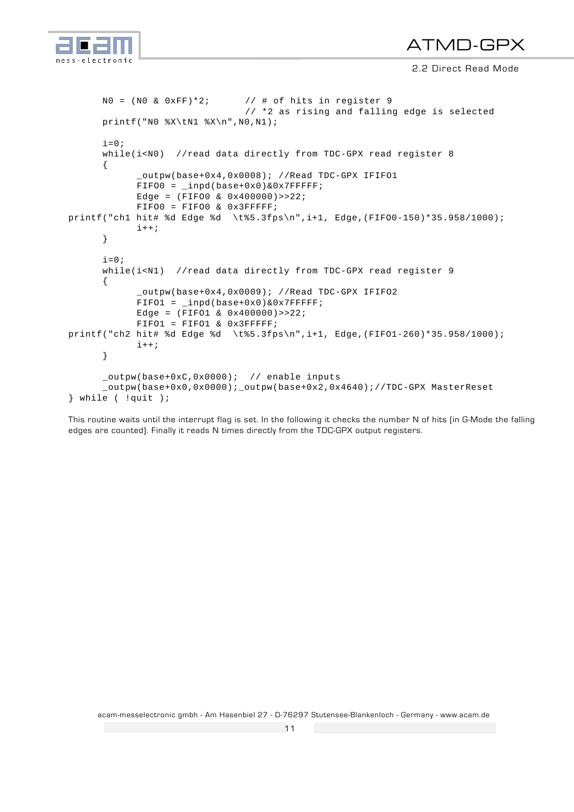

# ATMD-GPX

2.2 Direct Read Mode

```
NO = (NO & OxFF)*2; // # of hits in register 9
                                  // *2 as rising and falling edge is selected 
      printf("N0 X\tn1 X\nn", N0, N1);
      i=0;while(i<N0) //read data directly from TDC-GPX read register 8
       { 
             _outpw(base+0x4,0x0008); //Read TDC-GPX IFIFO1 
            FIFO0 = \text{input}(base+0x0) & 0x7FFFFF;Edge = (FIF00 & 0x400000) >> 22; FIFO0 = FIFO0 & 0x3FFFFF; 
printf("ch1 hit# %d Edge %d \t%5.3fps\n",i+1, Edge,(FIFO0-150)*35.958/1000); 
            i++;} 
      i=0;while(i<N1) //read data directly from TDC-GPX read register 9
       { 
              _outpw(base+0x4,0x0009); //Read TDC-GPX IFIFO2 
            FIFO1 = \text{input}(base+0x0) & 0x7FFFFF;Edge = (FIF01 & 0x400000) >> 22; FIFO1 = FIFO1 & 0x3FFFFF; 
printf("ch2 hit# d Edge d \leq 5.3fps\n", i+1, Edge,(FIFO1-260)*35.958/1000);
            i++; } 
       _outpw(base+0xC,0x0000); // enable inputs 
       _outpw(base+0x0,0x0000);_outpw(base+0x2,0x4640);//TDC-GPX MasterReset 
} while ( !quit );
```
This routine waits until the interrupt flag is set. In the following it checks the number N of hits (in G-Mode the falling edges are counted). Finally it reads N times directly from the TDC-GPX output registers.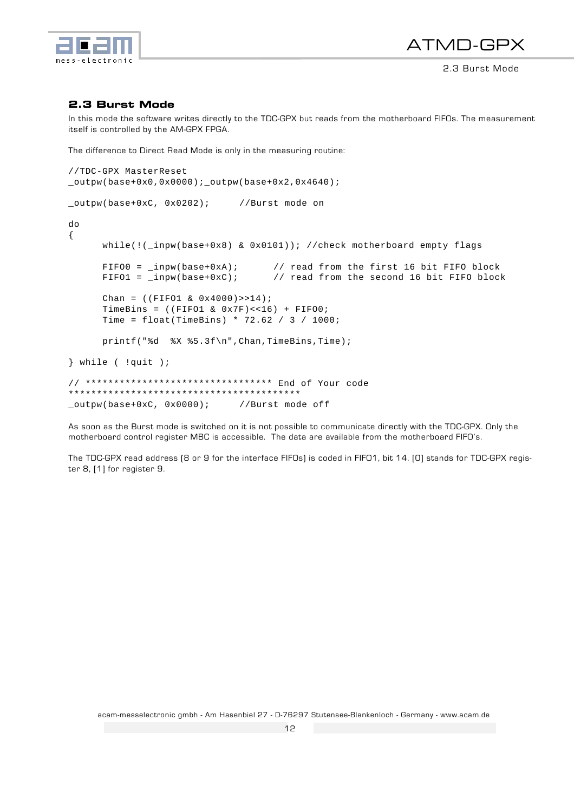<span id="page-11-0"></span>

2.3 Burst Mode

## 2.3 Burst Mode

In this mode the software writes directly to the TDC-GPX but reads from the motherboard FIFOs. The measurement itself is controlled by the AM-GPX FPGA.

The difference to Direct Read Mode is only in the measuring routine:

```
//TDC-GPX MasterReset 
_outpw(base+0x0,0x0000);_outpw(base+0x2,0x4640); 
_outpw(base+0xC, 0x0202); //Burst mode on 
do 
{ 
       while(!(_inpw(base+0x8) & 0x0101)); //check motherboard empty flags 
       FIFO0 = _inpw(base+0xA); // read from the first 16 bit FIFO block 
       FIFO1 = _inpw(base+0xC); // read from the second 16 bit FIFO block 
      Chan = ((FIFO1 & 0x4000) >> 14); TimeBins = ((FIFO1 & 0x7F)<<16) + FIFO0; 
       Time = float(TimeBins) * 72.62 / 3 / 1000; 
      printf("%d %X %5.3f\n",Chan,TimeBins,Time);
} while ( !quit ); 
// ********************************* End of Your code 
***************************************** 
_outpw(base+0xC, 0x0000); //Burst mode off
```
As soon as the Burst mode is switched on it is not possible to communicate directly with the TDC-GPX. Only the motherboard control register MBC is accessible. The data are available from the motherboard FIFO's.

The TDC-GPX read address (8 or 9 for the interface FIFOs) is coded in FIFO1, bit 14. [0] stands for TDC-GPX register 8, [1] for register 9.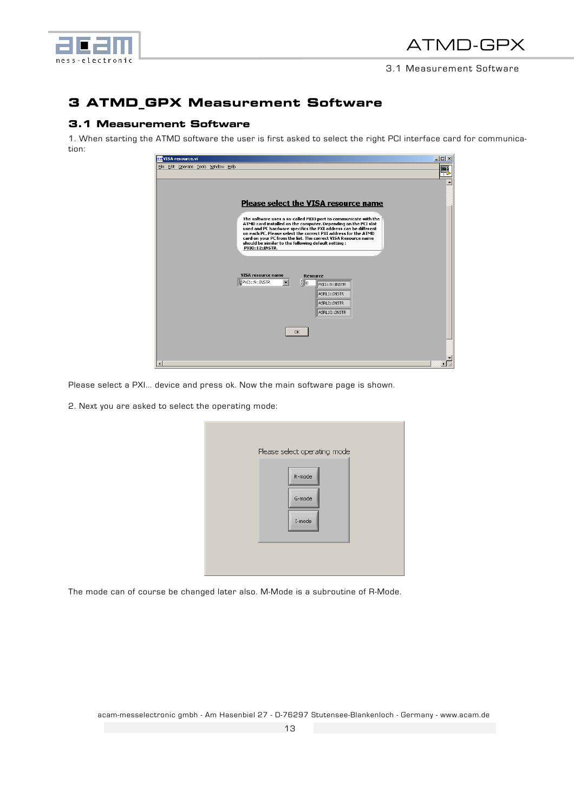<span id="page-12-0"></span>

## 3 ATMD\_GPX Measurement Software

## 3.1 Measurement Software

1. When starting the ATMD software the user is first asked to select the right PCI interface card for communication:

| VISA resource.vi                                          | $-10x$                                                                                                                                                                                                                                                                                                                                                                                                                                        |
|-----------------------------------------------------------|-----------------------------------------------------------------------------------------------------------------------------------------------------------------------------------------------------------------------------------------------------------------------------------------------------------------------------------------------------------------------------------------------------------------------------------------------|
| File Edit Operate Tools Window Help                       | Ŧ.                                                                                                                                                                                                                                                                                                                                                                                                                                            |
| PXI0::12:INSTR.                                           | <b>Please select the VISA resource name</b><br>The software uses a so-called PXIO port to communicate with the<br>ATMD card installed on the computer. Depending on the PCI slot<br>used and PC hardware specifics the PXI address can be different<br>on each PC. Please select the correct PXI address for the ATMD<br>card on your PC from the list. The correct VISA Resource name<br>should be similar to the following default setting: |
| <b>VISA resource name</b><br>$\frac{1}{6}$ PXI1::9::INSTR | <b>Resource</b><br>$\frac{r}{r}$ 0<br>$\blacksquare$<br>PXI1::9::INSTR<br>ASRL1::INSTR<br>ASRL2::INSTR<br>ASRL10::INSTR                                                                                                                                                                                                                                                                                                                       |
| $\left  \right $                                          | OK<br>▸                                                                                                                                                                                                                                                                                                                                                                                                                                       |

Please select a PXI... device and press ok. Now the main software page is shown.

2. Next you are asked to select the operating mode:

| Please select operating mode |
|------------------------------|
| R-mode<br>G-mode<br>I-mode   |

The mode can of course be changed later also. M-Mode is a subroutine of R-Mode.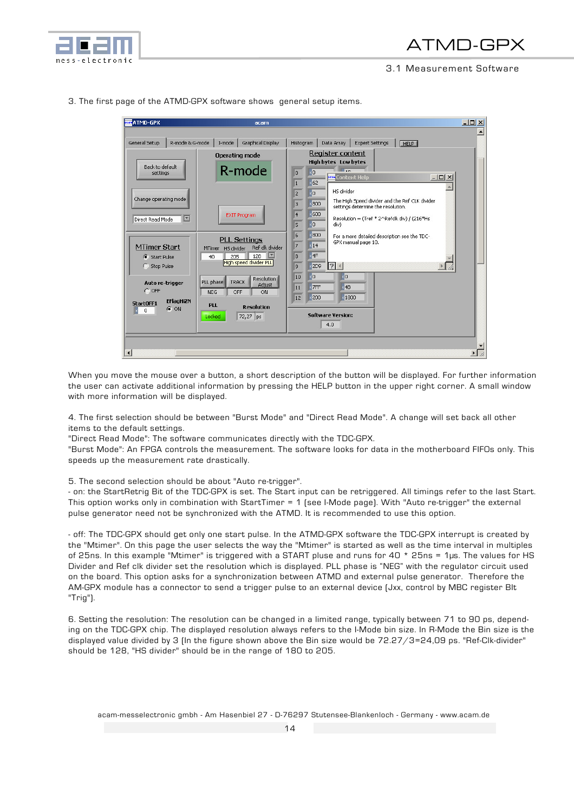





| <b>MATMD-GPX</b>                                                                                                                               | acam                                                                                                                                                                                                                                 |                                                                                                                                                                                                                                                                                                                                                                           | $   $ $  $ $\times$ $ $ |
|------------------------------------------------------------------------------------------------------------------------------------------------|--------------------------------------------------------------------------------------------------------------------------------------------------------------------------------------------------------------------------------------|---------------------------------------------------------------------------------------------------------------------------------------------------------------------------------------------------------------------------------------------------------------------------------------------------------------------------------------------------------------------------|-------------------------|
| R-mode & G-mode<br>General Setup<br>Back to default<br>settings<br>Change operating mode                                                       | <b>Graphical Display</b><br>I-mode<br><b>Operating mode</b><br>R-mode<br><b>EXIT Program</b>                                                                                                                                         | <b>Expert Settings</b><br>Histogram<br>Data Array<br>HELP<br>Register content<br><b>High bytes</b> Low bytes<br>хO<br>o<br>$ \Box$ $\times$<br>acan Context Help<br>62<br>$\overline{1}$<br>HS divider<br>$\overline{2}$<br>In.<br>The High Speed divider and the Ref CLK divider<br>$\overline{3}$<br>800<br>settings determine the resolution.<br>600<br>$\overline{4}$ | $\blacktriangle$        |
| $\overline{\mathbf{x}}$<br>Direct Read Mode<br><b>MTimer Start</b><br>G Start Pulse<br>C Stop Pulse<br>Auto re-trigger<br>$C$ OFF<br>EFlagHiZN | <b>PLL Settings</b><br>Ref clk divider<br>MTimer HS divider<br>$\boxed{\mathbf{r}}$<br>128<br>205<br>4 <sub>0</sub><br>High speed divider PLL<br><b>Resolution</b><br>PLL phase<br><b>TRACK</b><br>Adjust<br>OFF<br><b>NEG</b><br>ON | Resolution = (Tref * 2^Refclk div) / (216*Hs<br>5<br>lo.<br>div)<br>800<br>6<br>For a more detailed description see the TDC-<br>GPX manual page 10.<br>$\overline{7}$<br>$\times 14$<br>$\overline{8}$<br>4F<br>$\overline{9}$<br>$\sqrt{?}$<br><b>2D9</b><br>хO<br>$\mathbb{Z}^{\mathbf{0}}$<br>10<br>34B<br>27FF<br>11<br>-<br>200<br>1800<br>12                        |                         |
| StartOFF1<br>G ON<br>$\mathbf 0$                                                                                                               | <b>PLL</b><br><b>Resolution</b><br>72,27 ps<br>Locked                                                                                                                                                                                | <b>Software Version:</b><br>4.0                                                                                                                                                                                                                                                                                                                                           |                         |

#### 3. The first page of the ATMD-GPX software shows general setup items.

When you move the mouse over a button, a short description of the button will be displayed. For further information the user can activate additional information by pressing the HELP button in the upper right corner. A small window with more information will be displayed.

4. The first selection should be between "Burst Mode" and "Direct Read Mode". A change will set back all other items to the default settings.

"Direct Read Mode": The software communicates directly with the TDC-GPX.

"Burst Mode": An FPGA controls the measurement. The software looks for data in the motherboard FIFOs only. This speeds up the measurement rate drastically.

5. The second selection should be about "Auto re-trigger".

- on: the StartRetrig Bit of the TDC-GPX is set. The Start input can be retriggered. All timings refer to the last Start. This option works only in combination with StartTimer = 1 (see I-Mode page). With "Auto re-trigger" the external pulse generator need not be synchronized with the ATMD. It is recommended to use this option.

- off: The TDC-GPX should get only one start pulse. In the ATMD-GPX software the TDC-GPX interrupt is created by the "Mtimer". On this page the user selects the way the "Mtimer" is started as well as the time interval in multiples of 25ns. In this example "Mtimer" is triggered with a START pluse and runs for 40 \* 25ns = 1µs. The values for HS Divider and Ref clk divider set the resolution which is displayed. PLL phase is "NEG" with the regulator circuit used on the board. This option asks for a synchronization between ATMD and external pulse generator. Therefore the AM-GPX module has a connector to send a trigger pulse to an external device (Jxx, control by MBC register BIt "Trig").

6. Setting the resolution: The resolution can be changed in a limited range, typically between 71 to 90 ps, depending on the TDC-GPX chip. The displayed resolution always refers to the I-Mode bin size. In R-Mode the Bin size is the displayed value divided by 3 (In the figure shown above the Bin size would be 72.27/3=24,09 ps. "Ref-Clk-divider" should be 128, "HS divider" should be in the range of 180 to 205.

acam-messelectronic gmbh - Am Hasenbiel 27 - D-76297 Stutensee-Blankenloch - Germany - www.acam.de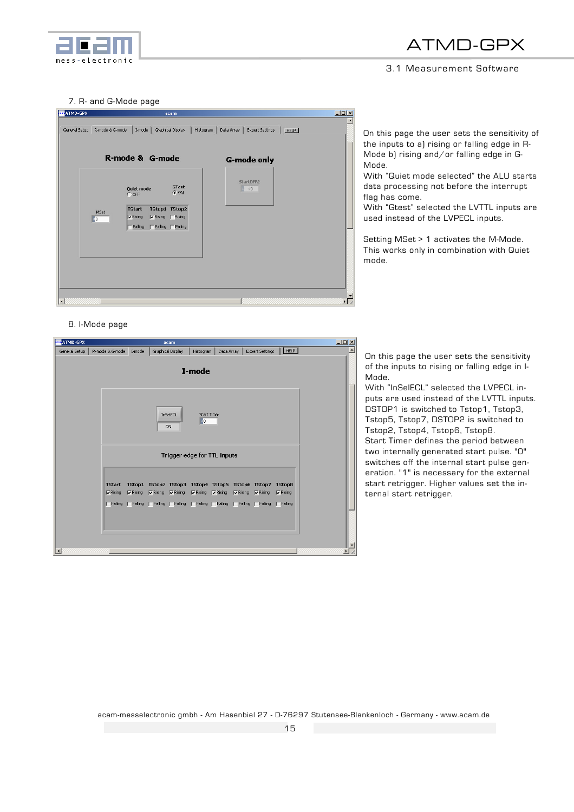

## 7. R- and G-Mode page

| ATMD-GPX      |                 |                            | acam                                                                    |           |            |                    |      | $\underline{\blacksquare} \boxtimes \underline{\mathsf{x}}$ |
|---------------|-----------------|----------------------------|-------------------------------------------------------------------------|-----------|------------|--------------------|------|-------------------------------------------------------------|
| General Setup | R-mode & G-mode | I-mode                     | Graphical Display                                                       | Histogram | Data Array | Expert Settings    | HELP |                                                             |
|               |                 |                            | R-mode & G-mode                                                         |           |            | <b>G-mode only</b> |      |                                                             |
|               |                 | <b>Quiet mode</b>          | <b>GTest</b>                                                            |           |            | StartOFF2<br>40    |      |                                                             |
|               |                 | $C$ OFF<br><b>TStart</b>   | $G$ ON<br>TStop1 TStop2                                                 |           |            |                    |      |                                                             |
|               | MSet<br>100     | $\nabla$ Rising<br>Falling | $\nabla$ Rising<br>$\Gamma$ Rising<br>$\Gamma$ Falling $\Gamma$ Falling |           |            |                    |      |                                                             |
|               |                 |                            |                                                                         |           |            |                    |      |                                                             |
|               |                 |                            |                                                                         |           |            |                    |      |                                                             |
|               |                 |                            |                                                                         |           |            |                    |      |                                                             |
|               |                 |                            |                                                                         |           |            |                    |      |                                                             |

On this page the user sets the sensitivity of the inputs to a) rising or falling edge in R-Mode b) rising and/or falling edge in G-Mode.

With "Quiet mode selected" the ALU starts data processing not before the interrupt flag has come.

With "Gtest" selected the LVTTL inputs are used instead of the LVPECL inputs.

Setting MSet > 1 activates the M-Mode. This works only in combination with Quiet mode.

#### 8. I-Mode page

| ATMD-GPX      |                                  |                                                                                                                                                                               | acam                        |                                                                |            |                                 |                        |                 | $-121 \times$ |
|---------------|----------------------------------|-------------------------------------------------------------------------------------------------------------------------------------------------------------------------------|-----------------------------|----------------------------------------------------------------|------------|---------------------------------|------------------------|-----------------|---------------|
| General Setup | R-mode & G-mode                  | I-mode                                                                                                                                                                        | Graphical Display           | Histogram                                                      | Data Array |                                 | <b>Expert Settings</b> | HELP            |               |
|               |                                  |                                                                                                                                                                               |                             | I-mode                                                         |            |                                 |                        |                 |               |
|               |                                  |                                                                                                                                                                               | InSelECL<br>ON              | Start Timer<br>$\overline{\mathsf{d}}$ $\overline{\mathsf{0}}$ |            |                                 |                        |                 |               |
|               |                                  |                                                                                                                                                                               | Trigger edge for TTL inputs |                                                                |            |                                 |                        |                 |               |
|               | <b>TStart</b><br>$\nabla$ Rising | TStop1 TStop2 TStop3 TStop4 TStop5 TStop6 TStop7 TStop8<br>VRising VRising VRising VRising VRising<br>Falling Falling Falling Falling Falling Falling Falling Falling Falling |                             |                                                                |            | $\nabla$ Rising $\nabla$ Rising |                        | $\nabla$ Rising |               |
| ∣ю            |                                  |                                                                                                                                                                               |                             |                                                                |            |                                 |                        |                 |               |

On this page the user sets the sensitivity of the inputs to rising or falling edge in I-Mode.

With "InSelFCL" selected the LVPFCL inputs are used instead of the LVTTL inputs. DSTOP1 is switched to Tstop1, Tstop3, Tstop5, Tstop7, DSTOP2 is switched to Tstop2, Tstop4, Tstop6, Tstop8. Start Timer defines the period between two internally generated start pulse. "0" switches off the internal start pulse generation. "1" is necessary for the external start retrigger. Higher values set the internal start retrigger.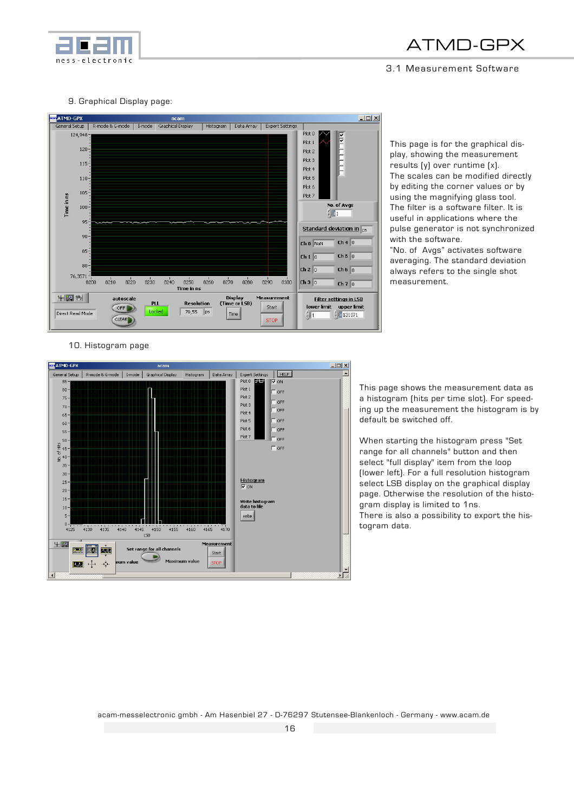

9. Graphical Display page:



This page is for the graphical display, showing the measurement results (y) over runtime (x). The scales can be modified directly by editing the corner values or by using the magnifying glass tool. The filter is a software filter. It is useful in applications where the pulse generator is not synchronized with the software.

"No. of Avgs" activates software averaging. The standard deviation always refers to the single shot measurement.

#### 10. Histogram page



This page shows the measurement data as a histogram (hits per time slot). For speeding up the measurement the histogram is by default be switched off.

When starting the histogram press "Set range for all channels" button and then select "full display" item from the loop (lower left). For a full resolution histogram select LSB display on the graphical display page. Otherwise the resolution of the histogram display is limited to 1ns. There is also a possibility to export the histogram data.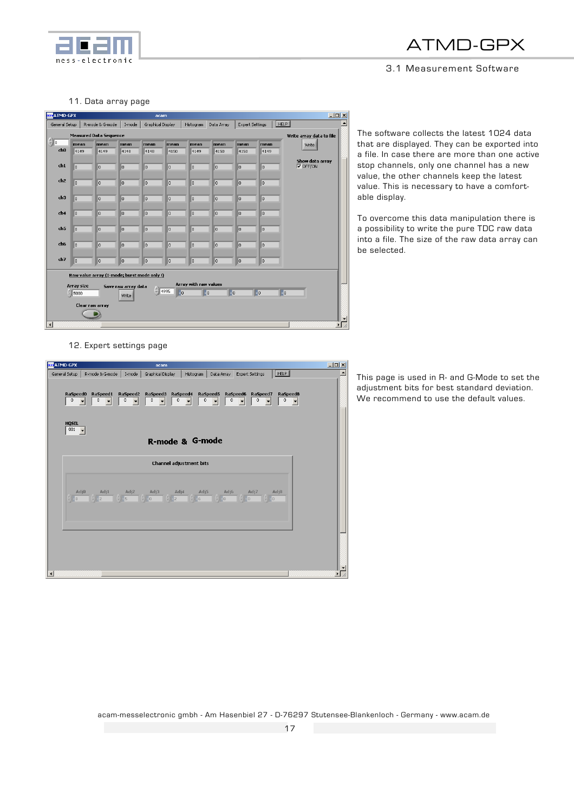

11. Data array page



The software collects the latest 1024 data that are displayed. They can be exported into a file. In case there are more than one active stop channels, only one channel has a new value, the other channels keep the latest value. This is necessary to have a comfortable display.

To overcome this data manipulation there is a possibility to write the pure TDC raw data into a file. The size of the raw data array can be selected.

12. Expert settings page



This page is used in R- and G-Mode to set the adjustment bits for best standard deviation. We recommend to use the default values.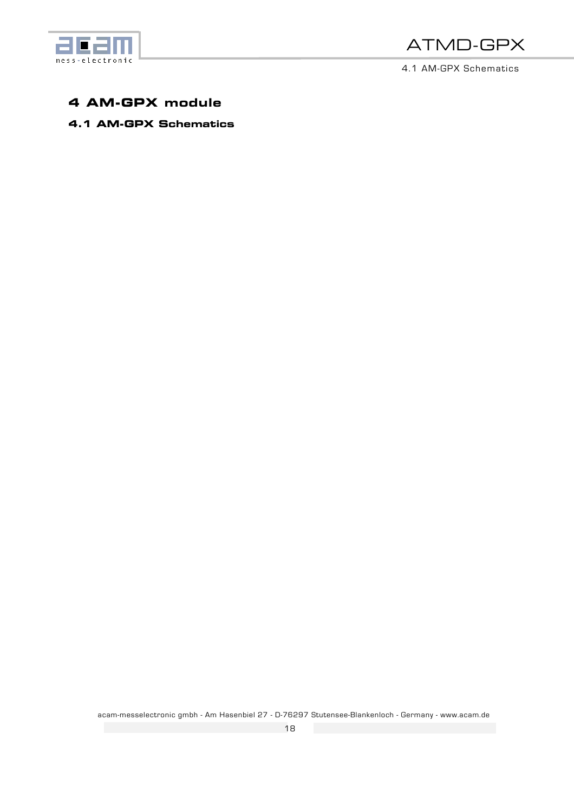<span id="page-17-0"></span>



4.1 AM-GPX Schematics

## 4 AM-GPX module

4.1 AM-GPX Schematics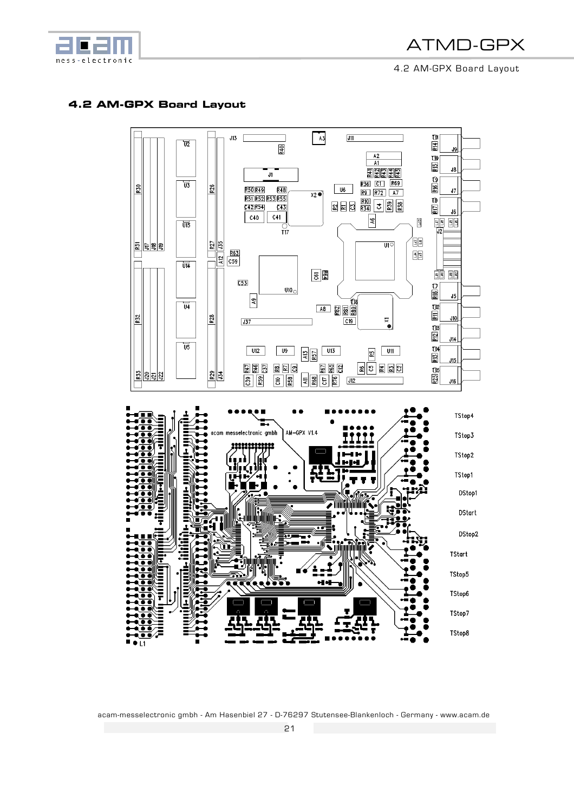





## 4.2 AM-GPX Board Layout

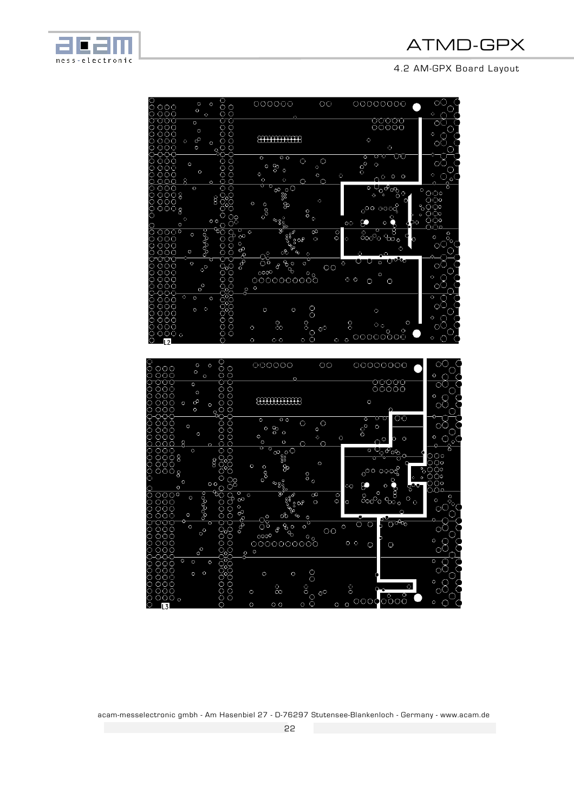





m a mess-electronic

acam-messelectronic gmbh - Am Hasenbiel 27 - D-76297 Stutensee-Blankenloch - Germany - www.acam.de

 $\rm ^{\circ}$ 

 $\circ$   $\circ$ 

 $\circ$ 

 $\sqrt{ }$ 

è

 $\mathsf{O}^\mathsf{C}$  $\subset$ 

Ō

်ဝဝဝဝဝဝိဝဝိ

 $\circ$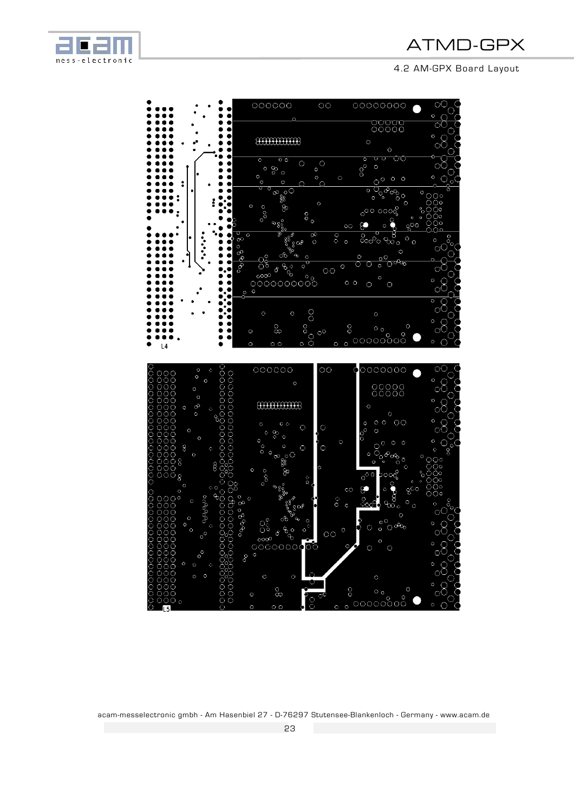

4.2 AM-GPX Board Layout



п mess-electronic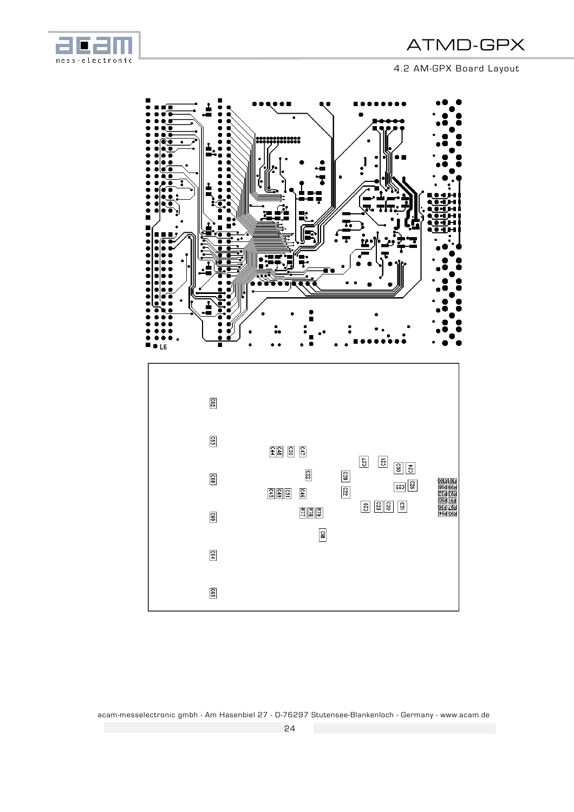

4.2 AM-GPX Board Layout



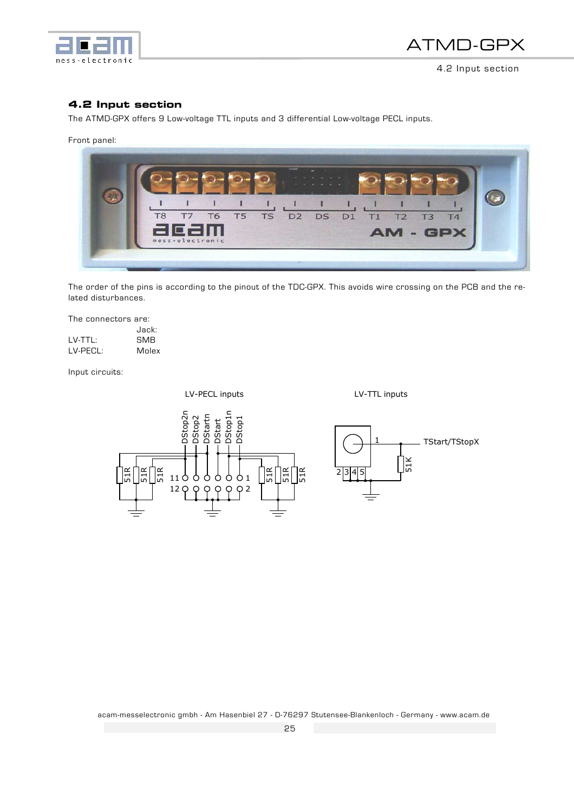



4.2 Input section

## 4.2 Input section

The ATMD-GPX offers 9 Low-voltage TTL inputs and 3 differential Low-voltage PECL inputs.

Front panel:



The order of the pins is according to the pinout of the TDC-GPX. This avoids wire crossing on the PCB and the related disturbances.

The connectors are:

|                                                        | Jack: |
|--------------------------------------------------------|-------|
| I V-TTL:                                               | SMB   |
| $\mathsf{IV}\text{-}\mathsf{P}\mathsf{F}\mathsf{Cl}$ : | Molex |

Input circuits: